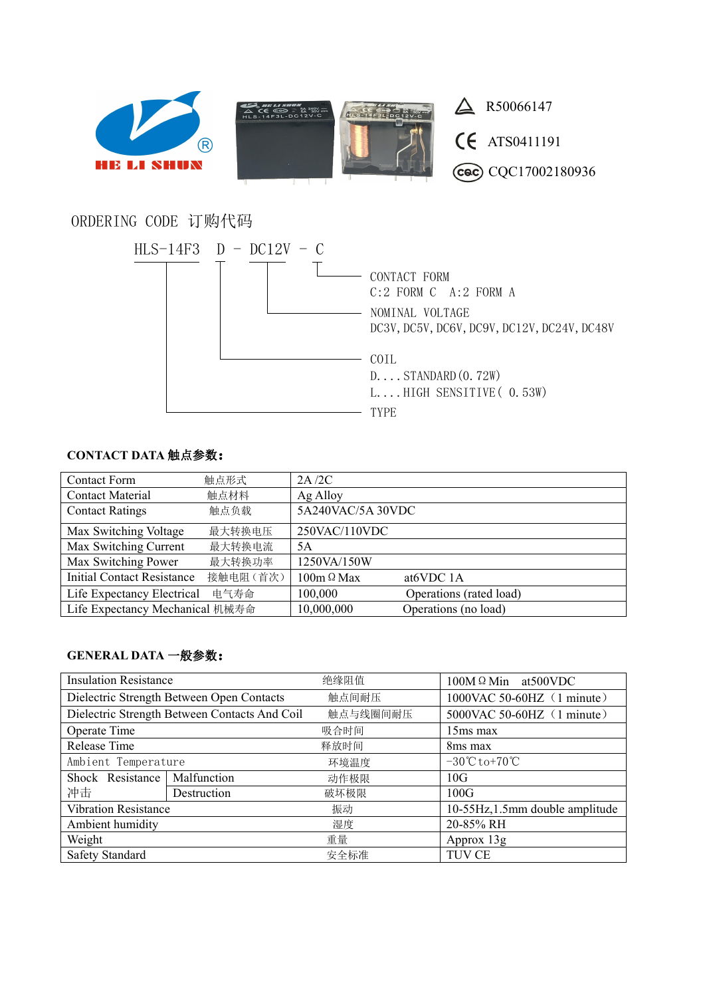

## ORDERING CODE 订购代码



## **CONTACT DATA** 触点参数:

| <b>Contact Form</b>               | 触点形式     | 2A/2C             |                         |
|-----------------------------------|----------|-------------------|-------------------------|
| <b>Contact Material</b>           | 触点材料     | Ag Alloy          |                         |
| <b>Contact Ratings</b>            | 触点负载     | 5A240VAC/5A 30VDC |                         |
| Max Switching Voltage             | 最大转换电压   | 250VAC/110VDC     |                         |
| Max Switching Current             | 最大转换电流   | 5A                |                         |
| Max Switching Power               | 最大转换功率   | 1250VA/150W       |                         |
| <b>Initial Contact Resistance</b> | 接触电阻(首次) | $100m \Omega$ Max | at <sub>6</sub> VDC 1A  |
| Life Expectancy Electrical        | 电气寿命     | 100,000           | Operations (rated load) |
| Life Expectancy Mechanical 机械寿命   |          | 10,000,000        | Operations (no load)    |

## **GENERAL DATA** 一般参数:

| <b>Insulation Resistance</b>                  |             | 绝缘阻值     | $100M \Omega$ Min at 500 VDC                   |  |
|-----------------------------------------------|-------------|----------|------------------------------------------------|--|
| Dielectric Strength Between Open Contacts     |             | 触点间耐压    | 1000VAC 50-60HZ (1 minute)                     |  |
| Dielectric Strength Between Contacts And Coil |             | 触点与线圈间耐压 | $5000$ VAC $50-60$ HZ $(1 \text{ minute})$     |  |
| Operate Time                                  |             | 吸合时间     | $15ms$ max                                     |  |
| Release Time                                  |             | 释放时间     | 8 <sub>ms</sub> max                            |  |
| Ambient Temperature                           |             | 环境温度     | $-30^{\circ}\text{C}$ to $+70^{\circ}\text{C}$ |  |
| Shock Resistance                              | Malfunction | 动作极限     | 10G                                            |  |
| 冲击                                            | Destruction | 破坏极限     | 100G                                           |  |
| <b>Vibration Resistance</b>                   |             | 振动       | 10-55Hz, 1.5mm double amplitude                |  |
| Ambient humidity                              |             | 湿度       | 20-85% RH                                      |  |
| Weight                                        |             | 重量       | Approx $13g$                                   |  |
| Safety Standard                               |             | 安全标准     | TUV CE                                         |  |